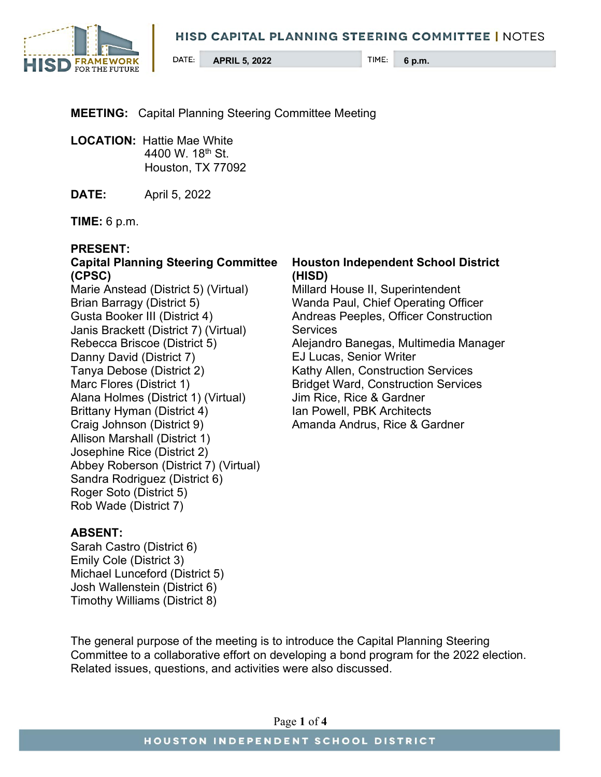

## **MEETING:** Capital Planning Steering Committee Meeting

**LOCATION:** Hattie Mae White 4400 W. 18<sup>th</sup> St. Houston, TX 77092

**DATE:** April 5, 2022

**TIME:** 6 p.m.

#### **PRESENT:**

## **Capital Planning Steering Committee (CPSC)**

Marie Anstead (District 5) (Virtual) Brian Barragy (District 5) Gusta Booker III (District 4) Janis Brackett (District 7) (Virtual) Rebecca Briscoe (District 5) Danny David (District 7) Tanya Debose (District 2) Marc Flores (District 1) Alana Holmes (District 1) (Virtual) Brittany Hyman (District 4) Craig Johnson (District 9) Allison Marshall (District 1) Josephine Rice (District 2) Abbey Roberson (District 7) (Virtual) Sandra Rodriguez (District 6) Roger Soto (District 5) Rob Wade (District 7)

### **Houston Independent School District (HISD)**

Millard House II, Superintendent Wanda Paul, Chief Operating Officer Andreas Peeples, Officer Construction **Services** Alejandro Banegas, Multimedia Manager EJ Lucas, Senior Writer Kathy Allen, Construction Services Bridget Ward, Construction Services Jim Rice, Rice & Gardner Ian Powell, PBK Architects Amanda Andrus, Rice & Gardner

### **ABSENT:**

Sarah Castro (District 6) Emily Cole (District 3) Michael Lunceford (District 5) Josh Wallenstein (District 6) Timothy Williams (District 8)

The general purpose of the meeting is to introduce the Capital Planning Steering Committee to a collaborative effort on developing a bond program for the 2022 election. Related issues, questions, and activities were also discussed.

Page **1** of **4**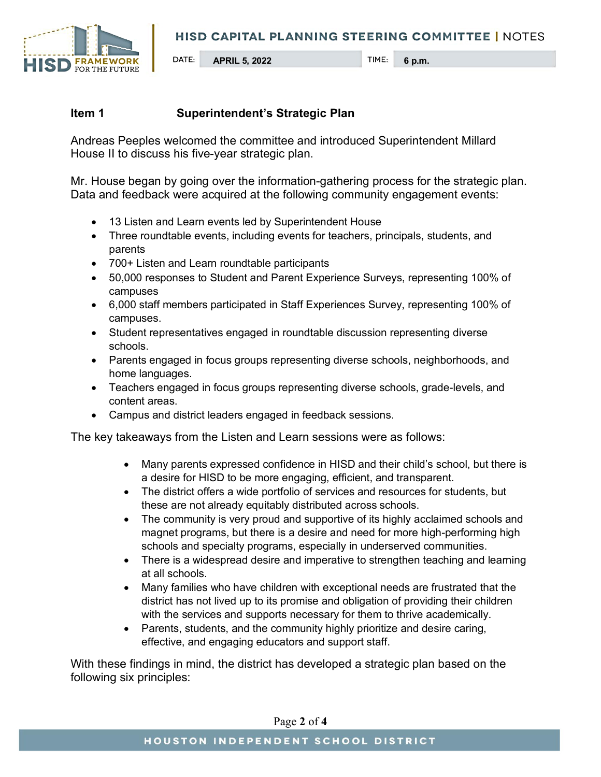

## **Item 1 Superintendent's Strategic Plan**

Andreas Peeples welcomed the committee and introduced Superintendent Millard House II to discuss his five-year strategic plan.

Mr. House began by going over the information-gathering process for the strategic plan. Data and feedback were acquired at the following community engagement events:

- 13 Listen and Learn events led by Superintendent House
- Three roundtable events, including events for teachers, principals, students, and parents
- 700+ Listen and Learn roundtable participants
- 50,000 responses to Student and Parent Experience Surveys, representing 100% of campuses
- 6,000 staff members participated in Staff Experiences Survey, representing 100% of campuses.
- Student representatives engaged in roundtable discussion representing diverse schools.
- Parents engaged in focus groups representing diverse schools, neighborhoods, and home languages.
- Teachers engaged in focus groups representing diverse schools, grade-levels, and content areas.
- Campus and district leaders engaged in feedback sessions.

The key takeaways from the Listen and Learn sessions were as follows:

- Many parents expressed confidence in HISD and their child's school, but there is a desire for HISD to be more engaging, efficient, and transparent.
- The district offers a wide portfolio of services and resources for students, but these are not already equitably distributed across schools.
- The community is very proud and supportive of its highly acclaimed schools and magnet programs, but there is a desire and need for more high-performing high schools and specialty programs, especially in underserved communities.
- There is a widespread desire and imperative to strengthen teaching and learning at all schools.
- Many families who have children with exceptional needs are frustrated that the district has not lived up to its promise and obligation of providing their children with the services and supports necessary for them to thrive academically.
- Parents, students, and the community highly prioritize and desire caring, effective, and engaging educators and support staff.

With these findings in mind, the district has developed a strategic plan based on the following six principles:

Page **2** of **4**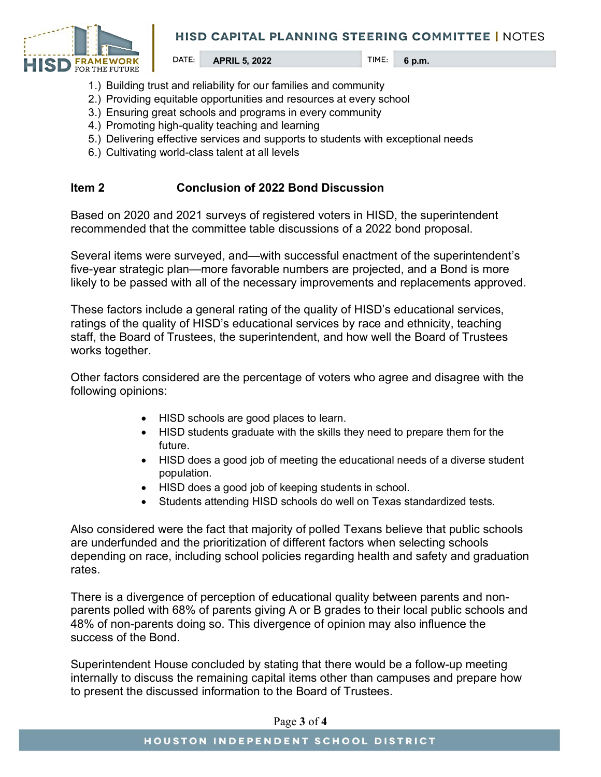

- 1.) Building trust and reliability for our families and community
- 2.) Providing equitable opportunities and resources at every school
- 3.) Ensuring great schools and programs in every community
- 4.) Promoting high-quality teaching and learning
- 5.) Delivering effective services and supports to students with exceptional needs
- 6.) Cultivating world-class talent at all levels

### **Item 2 Conclusion of 2022 Bond Discussion**

Based on 2020 and 2021 surveys of registered voters in HISD, the superintendent recommended that the committee table discussions of a 2022 bond proposal.

Several items were surveyed, and—with successful enactment of the superintendent's five-year strategic plan—more favorable numbers are projected, and a Bond is more likely to be passed with all of the necessary improvements and replacements approved.

These factors include a general rating of the quality of HISD's educational services, ratings of the quality of HISD's educational services by race and ethnicity, teaching staff, the Board of Trustees, the superintendent, and how well the Board of Trustees works together.

Other factors considered are the percentage of voters who agree and disagree with the following opinions:

- HISD schools are good places to learn.
- HISD students graduate with the skills they need to prepare them for the future.
- HISD does a good job of meeting the educational needs of a diverse student population.
- HISD does a good job of keeping students in school.
- Students attending HISD schools do well on Texas standardized tests.

Also considered were the fact that majority of polled Texans believe that public schools are underfunded and the prioritization of different factors when selecting schools depending on race, including school policies regarding health and safety and graduation rates.

There is a divergence of perception of educational quality between parents and nonparents polled with 68% of parents giving A or B grades to their local public schools and 48% of non-parents doing so. This divergence of opinion may also influence the success of the Bond.

Superintendent House concluded by stating that there would be a follow-up meeting internally to discuss the remaining capital items other than campuses and prepare how to present the discussed information to the Board of Trustees.

Page **3** of **4**